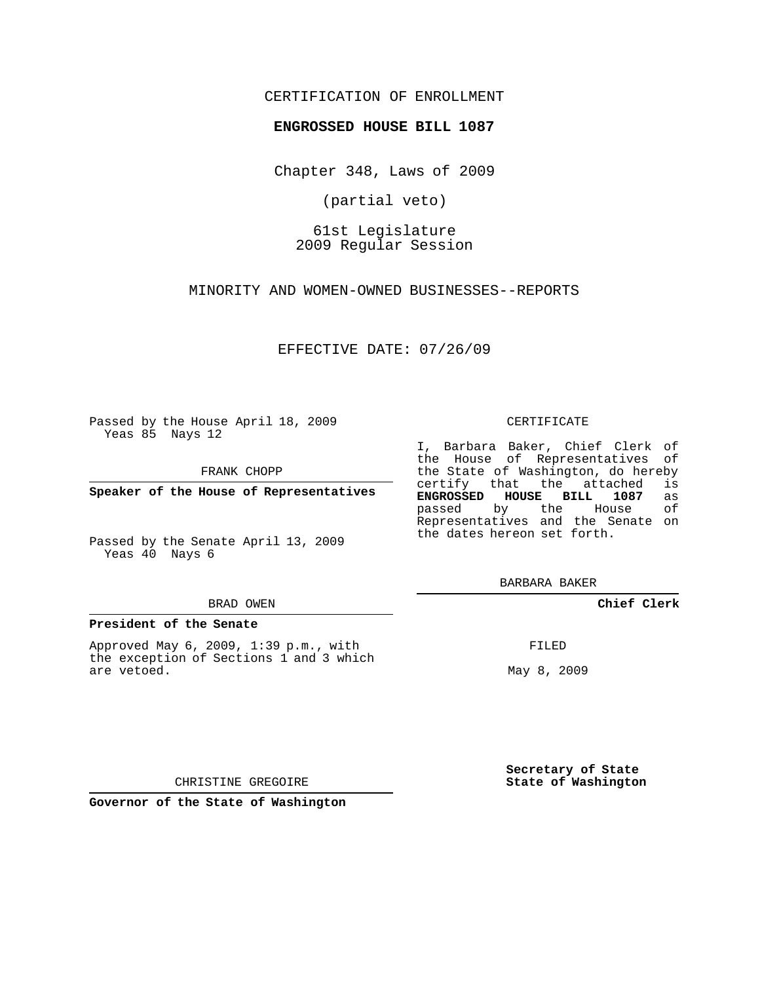# CERTIFICATION OF ENROLLMENT

## **ENGROSSED HOUSE BILL 1087**

Chapter 348, Laws of 2009

(partial veto)

61st Legislature 2009 Regular Session

MINORITY AND WOMEN-OWNED BUSINESSES--REPORTS

EFFECTIVE DATE: 07/26/09

Passed by the House April 18, 2009 Yeas 85 Nays 12

FRANK CHOPP

**Speaker of the House of Representatives**

Passed by the Senate April 13, 2009 Yeas 40 Nays 6

#### BRAD OWEN

## **President of the Senate**

Approved May 6, 2009, 1:39 p.m., with the exception of Sections 1 and 3 which are vetoed.

#### CERTIFICATE

I, Barbara Baker, Chief Clerk of the House of Representatives of the State of Washington, do hereby<br>certify that the attached is certify that the attached **ENGROSSED HOUSE BILL 1087** as passed by the House Representatives and the Senate on the dates hereon set forth.

BARBARA BAKER

# **Chief Clerk**

FILED

May 8, 2009

**Secretary of State State of Washington**

CHRISTINE GREGOIRE

**Governor of the State of Washington**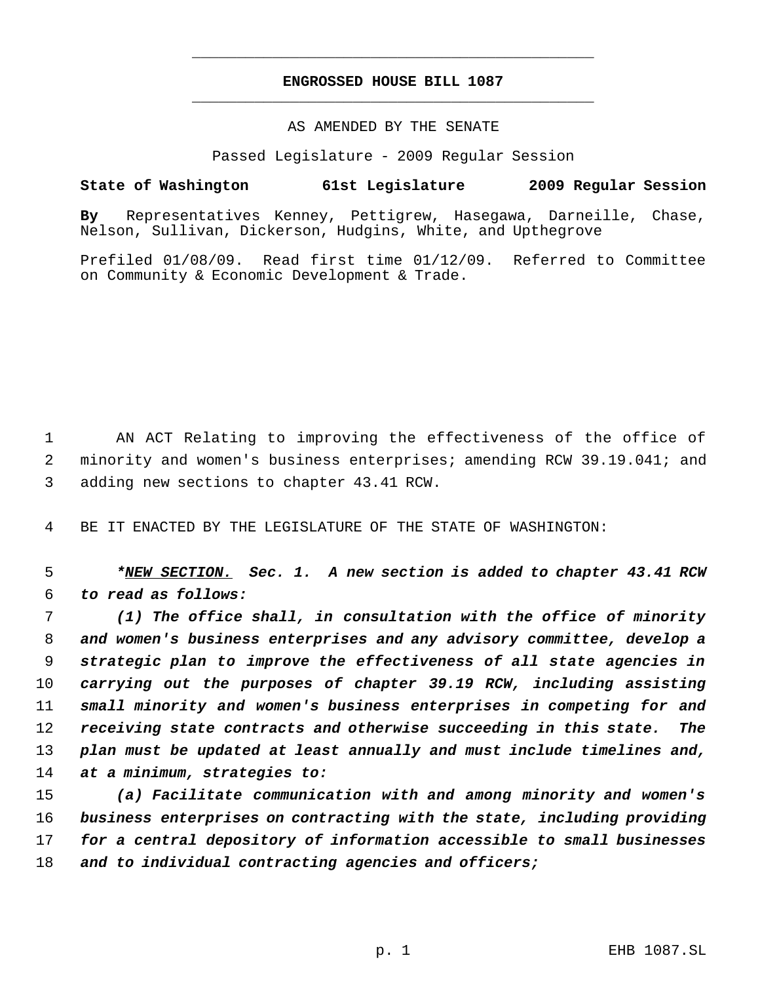# **ENGROSSED HOUSE BILL 1087** \_\_\_\_\_\_\_\_\_\_\_\_\_\_\_\_\_\_\_\_\_\_\_\_\_\_\_\_\_\_\_\_\_\_\_\_\_\_\_\_\_\_\_\_\_

\_\_\_\_\_\_\_\_\_\_\_\_\_\_\_\_\_\_\_\_\_\_\_\_\_\_\_\_\_\_\_\_\_\_\_\_\_\_\_\_\_\_\_\_\_

### AS AMENDED BY THE SENATE

Passed Legislature - 2009 Regular Session

## **State of Washington 61st Legislature 2009 Regular Session**

**By** Representatives Kenney, Pettigrew, Hasegawa, Darneille, Chase, Nelson, Sullivan, Dickerson, Hudgins, White, and Upthegrove

Prefiled 01/08/09. Read first time 01/12/09. Referred to Committee on Community & Economic Development & Trade.

 AN ACT Relating to improving the effectiveness of the office of minority and women's business enterprises; amending RCW 39.19.041; and adding new sections to chapter 43.41 RCW.

BE IT ENACTED BY THE LEGISLATURE OF THE STATE OF WASHINGTON:

 *\*NEW SECTION. Sec. 1. A new section is added to chapter 43.41 RCW to read as follows:*

 *(1) The office shall, in consultation with the office of minority and women's business enterprises and any advisory committee, develop a strategic plan to improve the effectiveness of all state agencies in carrying out the purposes of chapter 39.19 RCW, including assisting small minority and women's business enterprises in competing for and receiving state contracts and otherwise succeeding in this state. The plan must be updated at least annually and must include timelines and, at a minimum, strategies to:*

 *(a) Facilitate communication with and among minority and women's business enterprises on contracting with the state, including providing for a central depository of information accessible to small businesses and to individual contracting agencies and officers;*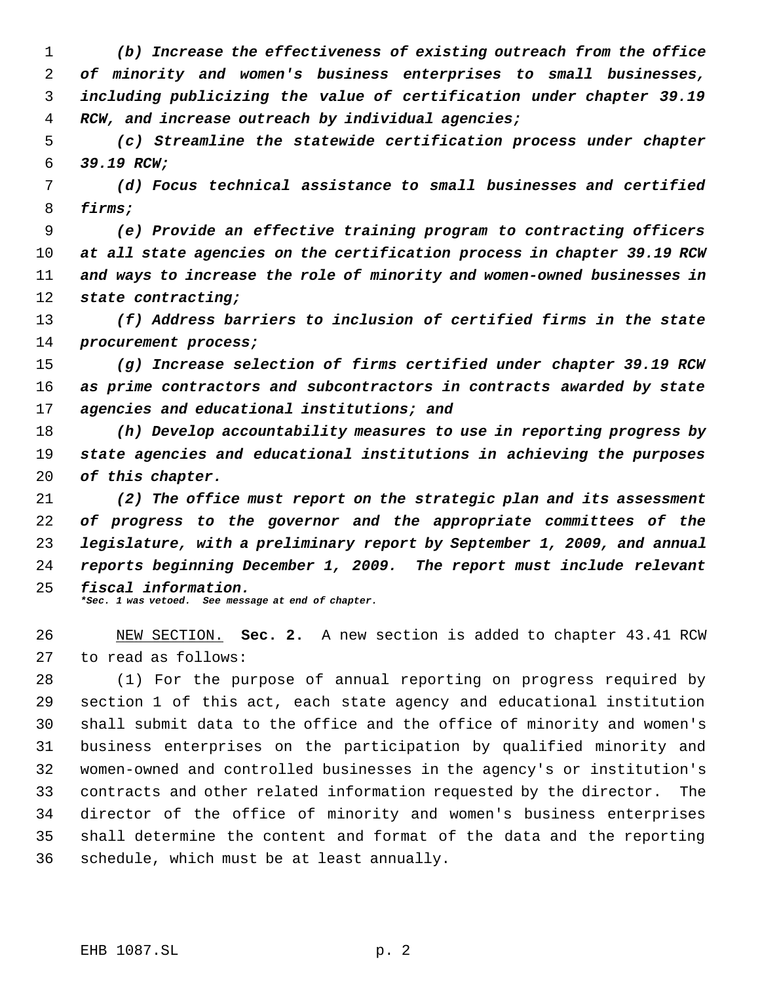*(b) Increase the effectiveness of existing outreach from the office of minority and women's business enterprises to small businesses, including publicizing the value of certification under chapter 39.19 RCW, and increase outreach by individual agencies;*

 *(c) Streamline the statewide certification process under chapter 39.19 RCW;*

 *(d) Focus technical assistance to small businesses and certified firms;*

 *(e) Provide an effective training program to contracting officers at all state agencies on the certification process in chapter 39.19 RCW and ways to increase the role of minority and women-owned businesses in state contracting;*

 *(f) Address barriers to inclusion of certified firms in the state procurement process;*

 *(g) Increase selection of firms certified under chapter 39.19 RCW as prime contractors and subcontractors in contracts awarded by state agencies and educational institutions; and*

 *(h) Develop accountability measures to use in reporting progress by state agencies and educational institutions in achieving the purposes of this chapter.*

 *(2) The office must report on the strategic plan and its assessment of progress to the governor and the appropriate committees of the legislature, with a preliminary report by September 1, 2009, and annual reports beginning December 1, 2009. The report must include relevant fiscal information. \*Sec. 1 was vetoed. See message at end of chapter.*

 NEW SECTION. **Sec. 2.** A new section is added to chapter 43.41 RCW to read as follows:

 (1) For the purpose of annual reporting on progress required by section 1 of this act, each state agency and educational institution shall submit data to the office and the office of minority and women's business enterprises on the participation by qualified minority and women-owned and controlled businesses in the agency's or institution's contracts and other related information requested by the director. The director of the office of minority and women's business enterprises shall determine the content and format of the data and the reporting schedule, which must be at least annually.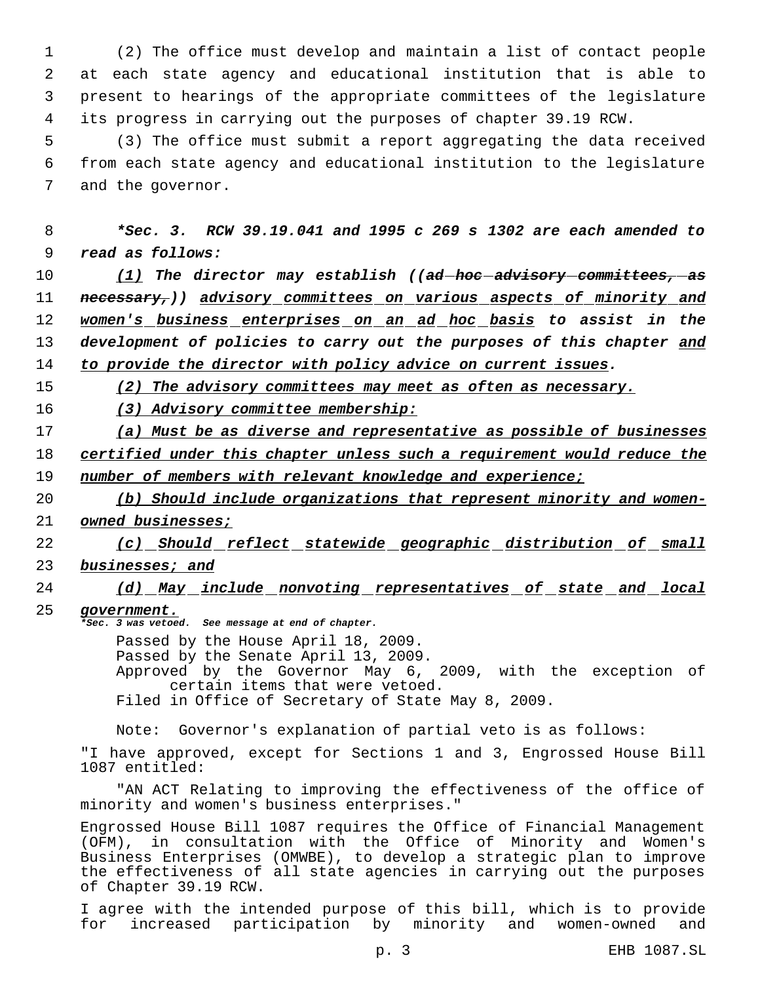(2) The office must develop and maintain a list of contact people at each state agency and educational institution that is able to present to hearings of the appropriate committees of the legislature its progress in carrying out the purposes of chapter 39.19 RCW.

 5 (3) The office must submit a report aggregating the data received 6 from each state agency and educational institution to the legislature 7 and the governor.

 8 *\*Sec. 3. RCW 39.19.041 and 1995 c 269 s 1302 are each amended to* 9 *read as follows:*

 *(1) The director may establish ((ad hoc advisory committees, as necessary,)) advisory committees on various aspects of minority and women's business enterprises on an ad hoc basis to assist in the development of policies to carry out the purposes of this chapter and to provide the director with policy advice on current issues.*

15 *(2) The advisory committees may meet as often as necessary.*

16 *(3) Advisory committee membership:*

17 *(a) Must be as diverse and representative as possible of businesses* 18 *certified under this chapter unless such a requirement would reduce the* 19 *number of members with relevant knowledge and experience;*

- 20 *(b) Should include organizations that represent minority and women-*
- 21 *owned businesses;*

22 *(c) Should reflect statewide geographic distribution of small* 23 *businesses; and*

24 *(d) May include nonvoting representatives of state and local*

25 *government.*

*\*Sec. 3 was vetoed. See message at end of chapter.*

Passed by the House April 18, 2009.

Passed by the Senate April 13, 2009.

Approved by the Governor May 6, 2009, with the exception of certain items that were vetoed.

Filed in Office of Secretary of State May 8, 2009.

Note: Governor's explanation of partial veto is as follows:

"I have approved, except for Sections 1 and 3, Engrossed House Bill 1087 entitled:

"AN ACT Relating to improving the effectiveness of the office of minority and women's business enterprises."

Engrossed House Bill 1087 requires the Office of Financial Management (OFM), in consultation with the Office of Minority and Women's Business Enterprises (OMWBE), to develop a strategic plan to improve the effectiveness of all state agencies in carrying out the purposes of Chapter 39.19 RCW.

I agree with the intended purpose of this bill, which is to provide for increased participation by minority and women-owned and